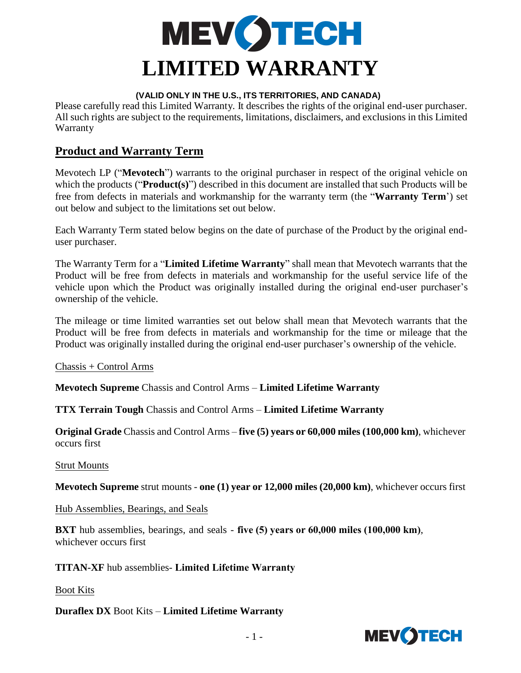

#### **(VALID ONLY IN THE U.S., ITS TERRITORIES, AND CANADA)**

Please carefully read this Limited Warranty. It describes the rights of the original end-user purchaser. All such rights are subject to the requirements, limitations, disclaimers, and exclusions in this Limited Warranty

## **Product and Warranty Term**

Mevotech LP ("**Mevotech**") warrants to the original purchaser in respect of the original vehicle on which the products ("**Product(s)**") described in this document are installed that such Products will be free from defects in materials and workmanship for the warranty term (the "**Warranty Term**') set out below and subject to the limitations set out below.

Each Warranty Term stated below begins on the date of purchase of the Product by the original enduser purchaser.

The Warranty Term for a "**Limited Lifetime Warranty**" shall mean that Mevotech warrants that the Product will be free from defects in materials and workmanship for the useful service life of the vehicle upon which the Product was originally installed during the original end-user purchaser's ownership of the vehicle.

The mileage or time limited warranties set out below shall mean that Mevotech warrants that the Product will be free from defects in materials and workmanship for the time or mileage that the Product was originally installed during the original end-user purchaser's ownership of the vehicle.

Chassis + Control Arms

**Mevotech Supreme** Chassis and Control Arms – **Limited Lifetime Warranty**

**TTX Terrain Tough** Chassis and Control Arms – **Limited Lifetime Warranty**

**Original Grade** Chassis and Control Arms – **five (5) years or 60,000 miles (100,000 km)**, whichever occurs first

Strut Mounts

**Mevotech Supreme** strut mounts - **one (1) year or 12,000 miles (20,000 km)**, whichever occurs first

Hub Assemblies, Bearings, and Seals

**BXT** hub assemblies, bearings, and seals - **five (5) years or 60,000 miles (100,000 km)**, whichever occurs first

**TITAN-XF** hub assemblies- **Limited Lifetime Warranty**

Boot Kits

**Duraflex DX** Boot Kits – **Limited Lifetime Warranty**

![](_page_0_Picture_19.jpeg)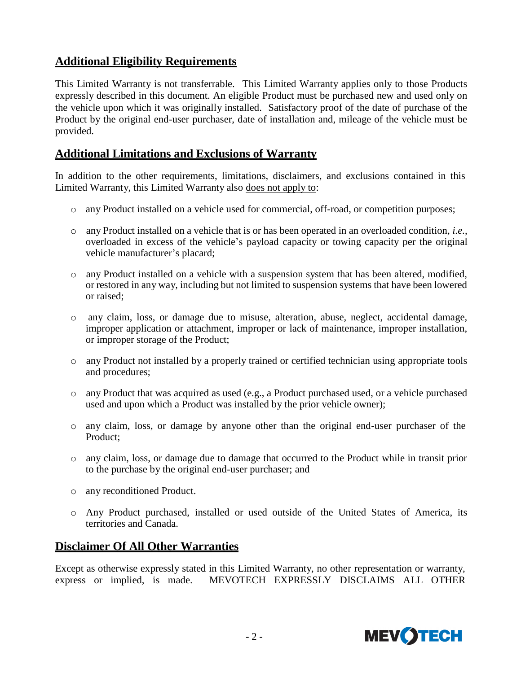# **Additional Eligibility Requirements**

This Limited Warranty is not transferrable. This Limited Warranty applies only to those Products expressly described in this document. An eligible Product must be purchased new and used only on the vehicle upon which it was originally installed. Satisfactory proof of the date of purchase of the Product by the original end-user purchaser, date of installation and, mileage of the vehicle must be provided.

## **Additional Limitations and Exclusions of Warranty**

In addition to the other requirements, limitations, disclaimers, and exclusions contained in this Limited Warranty, this Limited Warranty also does not apply to:

- o any Product installed on a vehicle used for commercial, off-road, or competition purposes;
- o any Product installed on a vehicle that is or has been operated in an overloaded condition, *i.e.*, overloaded in excess of the vehicle's payload capacity or towing capacity per the original vehicle manufacturer's placard;
- o any Product installed on a vehicle with a suspension system that has been altered, modified, or restored in any way, including but not limited to suspension systems that have been lowered or raised;
- o any claim, loss, or damage due to misuse, alteration, abuse, neglect, accidental damage, improper application or attachment, improper or lack of maintenance, improper installation, or improper storage of the Product;
- o any Product not installed by a properly trained or certified technician using appropriate tools and procedures;
- o any Product that was acquired as used (e.g., a Product purchased used, or a vehicle purchased used and upon which a Product was installed by the prior vehicle owner);
- o any claim, loss, or damage by anyone other than the original end-user purchaser of the Product;
- o any claim, loss, or damage due to damage that occurred to the Product while in transit prior to the purchase by the original end-user purchaser; and
- o any reconditioned Product.
- o Any Product purchased, installed or used outside of the United States of America, its territories and Canada.

## **Disclaimer Of All Other Warranties**

Except as otherwise expressly stated in this Limited Warranty, no other representation or warranty, express or implied, is made. MEVOTECH EXPRESSLY DISCLAIMS ALL OTHER

![](_page_1_Picture_16.jpeg)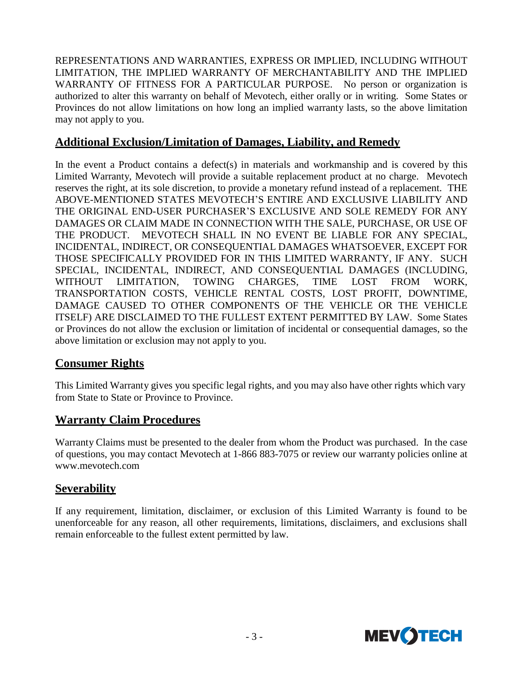REPRESENTATIONS AND WARRANTIES, EXPRESS OR IMPLIED, INCLUDING WITHOUT LIMITATION, THE IMPLIED WARRANTY OF MERCHANTABILITY AND THE IMPLIED WARRANTY OF FITNESS FOR A PARTICULAR PURPOSE. No person or organization is authorized to alter this warranty on behalf of Mevotech, either orally or in writing. Some States or Provinces do not allow limitations on how long an implied warranty lasts, so the above limitation may not apply to you.

## **Additional Exclusion/Limitation of Damages, Liability, and Remedy**

In the event a Product contains a defect(s) in materials and workmanship and is covered by this Limited Warranty, Mevotech will provide a suitable replacement product at no charge. Mevotech reserves the right, at its sole discretion, to provide a monetary refund instead of a replacement. THE ABOVE-MENTIONED STATES MEVOTECH'S ENTIRE AND EXCLUSIVE LIABILITY AND THE ORIGINAL END-USER PURCHASER'S EXCLUSIVE AND SOLE REMEDY FOR ANY DAMAGES OR CLAIM MADE IN CONNECTION WITH THE SALE, PURCHASE, OR USE OF THE PRODUCT. MEVOTECH SHALL IN NO EVENT BE LIABLE FOR ANY SPECIAL, INCIDENTAL, INDIRECT, OR CONSEQUENTIAL DAMAGES WHATSOEVER, EXCEPT FOR THOSE SPECIFICALLY PROVIDED FOR IN THIS LIMITED WARRANTY, IF ANY. SUCH SPECIAL, INCIDENTAL, INDIRECT, AND CONSEQUENTIAL DAMAGES (INCLUDING, WITHOUT LIMITATION, TOWING CHARGES, TIME LOST FROM WORK, TRANSPORTATION COSTS, VEHICLE RENTAL COSTS, LOST PROFIT, DOWNTIME, DAMAGE CAUSED TO OTHER COMPONENTS OF THE VEHICLE OR THE VEHICLE ITSELF) ARE DISCLAIMED TO THE FULLEST EXTENT PERMITTED BY LAW. Some States or Provinces do not allow the exclusion or limitation of incidental or consequential damages, so the above limitation or exclusion may not apply to you.

## **Consumer Rights**

This Limited Warranty gives you specific legal rights, and you may also have other rights which vary from State to State or Province to Province.

## **Warranty Claim Procedures**

Warranty Claims must be presented to the dealer from whom the Product was purchased. In the case of questions, you may contact Mevotech at 1-866 883-7075 or review our warranty policies online a[t](http://www.mevotech.com/) [www.mevotech.com](http://www.mevotech.com/)

## **Severability**

If any requirement, limitation, disclaimer, or exclusion of this Limited Warranty is found to be unenforceable for any reason, all other requirements, limitations, disclaimers, and exclusions shall remain enforceable to the fullest extent permitted by law.

![](_page_2_Picture_9.jpeg)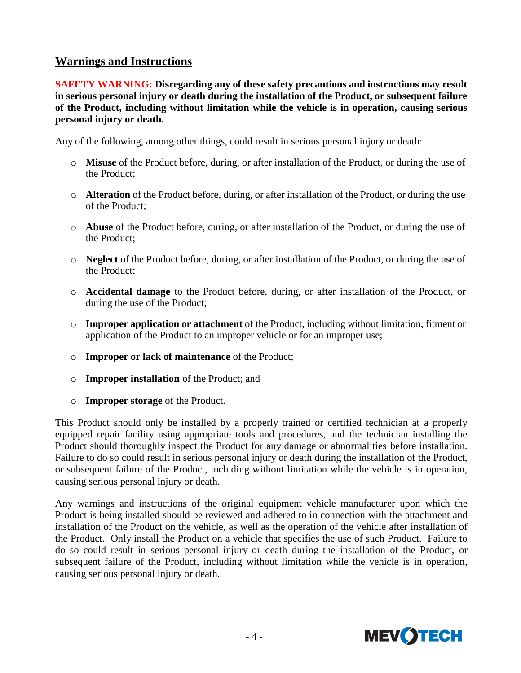## **Warnings and Instructions**

**SAFETY WARNING: Disregarding any of these safety precautions and instructions may result in serious personal injury or death during the installation of the Product, or subsequent failure of the Product, including without limitation while the vehicle is in operation, causing serious personal injury or death.**

Any of the following, among other things, could result in serious personal injury or death:

- o **Misuse** of the Product before, during, or after installation of the Product, or during the use of the Product;
- o **Alteration** of the Product before, during, or after installation of the Product, or during the use of the Product;
- o **Abuse** of the Product before, during, or after installation of the Product, or during the use of the Product;
- o **Neglect** of the Product before, during, or after installation of the Product, or during the use of the Product;
- o **Accidental damage** to the Product before, during, or after installation of the Product, or during the use of the Product;
- o **Improper application or attachment** of the Product, including without limitation, fitment or application of the Product to an improper vehicle or for an improper use;
- o **Improper or lack of maintenance** of the Product;
- o **Improper installation** of the Product; and
- o **Improper storage** of the Product.

This Product should only be installed by a properly trained or certified technician at a properly equipped repair facility using appropriate tools and procedures, and the technician installing the Product should thoroughly inspect the Product for any damage or abnormalities before installation. Failure to do so could result in serious personal injury or death during the installation of the Product, or subsequent failure of the Product, including without limitation while the vehicle is in operation, causing serious personal injury or death.

Any warnings and instructions of the original equipment vehicle manufacturer upon which the Product is being installed should be reviewed and adhered to in connection with the attachment and installation of the Product on the vehicle, as well as the operation of the vehicle after installation of the Product. Only install the Product on a vehicle that specifies the use of such Product. Failure to do so could result in serious personal injury or death during the installation of the Product, or subsequent failure of the Product, including without limitation while the vehicle is in operation, causing serious personal injury or death.

![](_page_3_Picture_14.jpeg)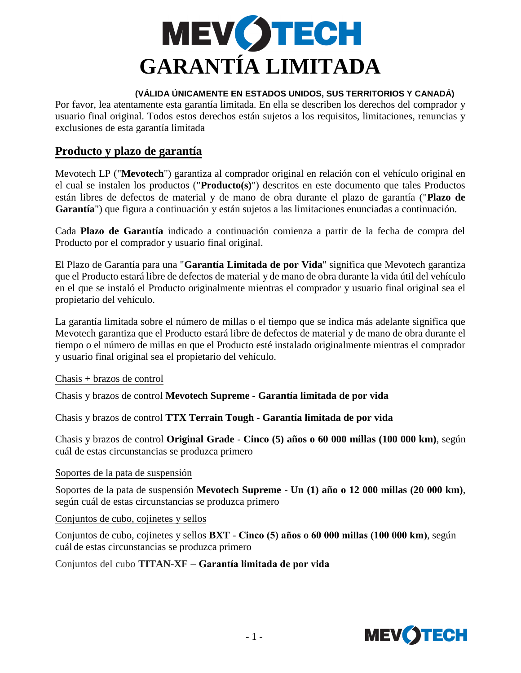![](_page_4_Picture_0.jpeg)

#### **(VÁLIDA ÚNICAMENTE EN ESTADOS UNIDOS, SUS TERRITORIOS Y CANADÁ)**

Por favor, lea atentamente esta garantía limitada. En ella se describen los derechos del comprador y usuario final original. Todos estos derechos están sujetos a los requisitos, limitaciones, renuncias y exclusiones de esta garantía limitada

## **Producto y plazo de garantía**

Mevotech LP ("**Mevotech**") garantiza al comprador original en relación con el vehículo original en el cual se instalen los productos ("**Producto(s)**") descritos en este documento que tales Productos están libres de defectos de material y de mano de obra durante el plazo de garantía ("**Plazo de Garantía**") que figura a continuación y están sujetos a las limitaciones enunciadas a continuación.

Cada **Plazo de Garantía** indicado a continuación comienza a partir de la fecha de compra del Producto por el comprador y usuario final original.

El Plazo de Garantía para una "**Garantía Limitada de por Vida**" significa que Mevotech garantiza que el Producto estará libre de defectos de material y de mano de obra durante la vida útil del vehículo en el que se instaló el Producto originalmente mientras el comprador y usuario final original sea el propietario del vehículo.

La garantía limitada sobre el número de millas o el tiempo que se indica más adelante significa que Mevotech garantiza que el Producto estará libre de defectos de material y de mano de obra durante el tiempo o el número de millas en que el Producto esté instalado originalmente mientras el comprador y usuario final original sea el propietario del vehículo.

Chasis + brazos de control

Chasis y brazos de control **Mevotech Supreme** - **Garantía limitada de por vida** 

Chasis y brazos de control **TTX Terrain Tough** - **Garantía limitada de por vida** 

Chasis y brazos de control **Original Grade** - **Cinco (5) años o 60 000 millas (100 000 km)**, según cuál de estas circunstancias se produzca primero

#### Soportes de la pata de suspensión

Soportes de la pata de suspensión **Mevotech Supreme** - **Un (1) año o 12 000 millas (20 000 km)**, según cuál de estas circunstancias se produzca primero

Conjuntos de cubo, cojinetes y sellos

Conjuntos de cubo, cojinetes y sellos **BXT** - **Cinco (5) años o 60 000 millas (100 000 km)**, según cuál de estas circunstancias se produzca primero

Conjuntos del cubo **TITAN-XF** – **Garantía limitada de por vida**

![](_page_4_Picture_17.jpeg)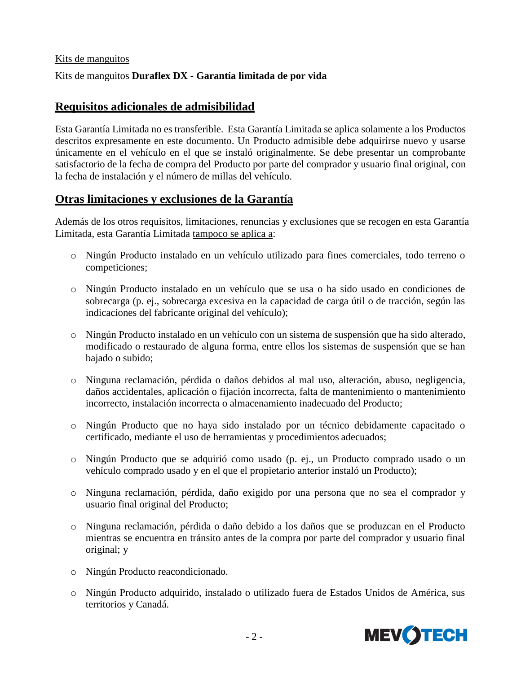#### Kits de manguitos

#### Kits de manguitos **Duraflex DX** - **Garantía limitada de por vida**

### **Requisitos adicionales de admisibilidad**

Esta Garantía Limitada no es transferible. Esta Garantía Limitada se aplica solamente a los Productos descritos expresamente en este documento. Un Producto admisible debe adquirirse nuevo y usarse únicamente en el vehículo en el que se instaló originalmente. Se debe presentar un comprobante satisfactorio de la fecha de compra del Producto por parte del comprador y usuario final original, con la fecha de instalación y el número de millas del vehículo.

### **Otras limitaciones y exclusiones de la Garantía**

Además de los otros requisitos, limitaciones, renuncias y exclusiones que se recogen en esta Garantía Limitada, esta Garantía Limitada tampoco se aplica a:

- o Ningún Producto instalado en un vehículo utilizado para fines comerciales, todo terreno o competiciones;
- o Ningún Producto instalado en un vehículo que se usa o ha sido usado en condiciones de sobrecarga (p. ej., sobrecarga excesiva en la capacidad de carga útil o de tracción, según las indicaciones del fabricante original del vehículo);
- o Ningún Producto instalado en un vehículo con un sistema de suspensión que ha sido alterado, modificado o restaurado de alguna forma, entre ellos los sistemas de suspensión que se han bajado o subido;
- o Ninguna reclamación, pérdida o daños debidos al mal uso, alteración, abuso, negligencia, daños accidentales, aplicación o fijación incorrecta, falta de mantenimiento o mantenimiento incorrecto, instalación incorrecta o almacenamiento inadecuado del Producto;
- o Ningún Producto que no haya sido instalado por un técnico debidamente capacitado o certificado, mediante el uso de herramientas y procedimientos adecuados;
- o Ningún Producto que se adquirió como usado (p. ej., un Producto comprado usado o un vehículo comprado usado y en el que el propietario anterior instaló un Producto);
- o Ninguna reclamación, pérdida, daño exigido por una persona que no sea el comprador y usuario final original del Producto;
- o Ninguna reclamación, pérdida o daño debido a los daños que se produzcan en el Producto mientras se encuentra en tránsito antes de la compra por parte del comprador y usuario final original; y
- o Ningún Producto reacondicionado.
- o Ningún Producto adquirido, instalado o utilizado fuera de Estados Unidos de América, sus territorios y Canadá.

![](_page_5_Picture_16.jpeg)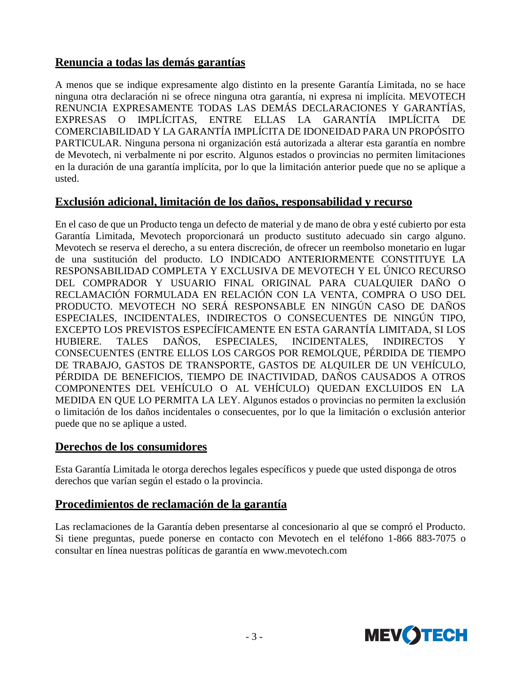## **Renuncia a todas las demás garantías**

A menos que se indique expresamente algo distinto en la presente Garantía Limitada, no se hace ninguna otra declaración ni se ofrece ninguna otra garantía, ni expresa ni implícita. MEVOTECH RENUNCIA EXPRESAMENTE TODAS LAS DEMÁS DECLARACIONES Y GARANTÍAS, EXPRESAS O IMPLÍCITAS, ENTRE ELLAS LA GARANTÍA IMPLÍCITA DE COMERCIABILIDAD Y LA GARANTÍA IMPLÍCITA DE IDONEIDAD PARA UN PROPÓSITO PARTICULAR. Ninguna persona ni organización está autorizada a alterar esta garantía en nombre de Mevotech, ni verbalmente ni por escrito. Algunos estados o provincias no permiten limitaciones en la duración de una garantía implícita, por lo que la limitación anterior puede que no se aplique a usted.

## **Exclusión adicional, limitación de los daños, responsabilidad y recurso**

En el caso de que un Producto tenga un defecto de material y de mano de obra y esté cubierto por esta Garantía Limitada, Mevotech proporcionará un producto sustituto adecuado sin cargo alguno. Mevotech se reserva el derecho, a su entera discreción, de ofrecer un reembolso monetario en lugar de una sustitución del producto. LO INDICADO ANTERIORMENTE CONSTITUYE LA RESPONSABILIDAD COMPLETA Y EXCLUSIVA DE MEVOTECH Y EL ÚNICO RECURSO DEL COMPRADOR Y USUARIO FINAL ORIGINAL PARA CUALQUIER DAÑO O RECLAMACIÓN FORMULADA EN RELACIÓN CON LA VENTA, COMPRA O USO DEL PRODUCTO. MEVOTECH NO SERÁ RESPONSABLE EN NINGÚN CASO DE DAÑOS ESPECIALES, INCIDENTALES, INDIRECTOS O CONSECUENTES DE NINGÚN TIPO, EXCEPTO LOS PREVISTOS ESPECÍFICAMENTE EN ESTA GARANTÍA LIMITADA, SI LOS HUBIERE. TALES DAÑOS, ESPECIALES, INCIDENTALES, INDIRECTOS Y CONSECUENTES (ENTRE ELLOS LOS CARGOS POR REMOLQUE, PÉRDIDA DE TIEMPO DE TRABAJO, GASTOS DE TRANSPORTE, GASTOS DE ALQUILER DE UN VEHÍCULO, PÉRDIDA DE BENEFICIOS, TIEMPO DE INACTIVIDAD, DAÑOS CAUSADOS A OTROS COMPONENTES DEL VEHÍCULO O AL VEHÍCULO) QUEDAN EXCLUIDOS EN LA MEDIDA EN QUE LO PERMITA LA LEY. Algunos estados o provincias no permiten la exclusión o limitación de los daños incidentales o consecuentes, por lo que la limitación o exclusión anterior puede que no se aplique a usted.

### **Derechos de los consumidores**

Esta Garantía Limitada le otorga derechos legales específicos y puede que usted disponga de otros derechos que varían según el estado o la provincia.

## **Procedimientos de reclamación de la garantía**

Las reclamaciones de la Garantía deben presentarse al concesionario al que se compró el Producto. Si tiene preguntas, puede ponerse en contacto con Mevotech en el teléfono 1-866 883-7075 o consultar en línea nuestras políticas de garantía en [www.mevotech.com](http://www.mevotech.com/)

![](_page_6_Picture_8.jpeg)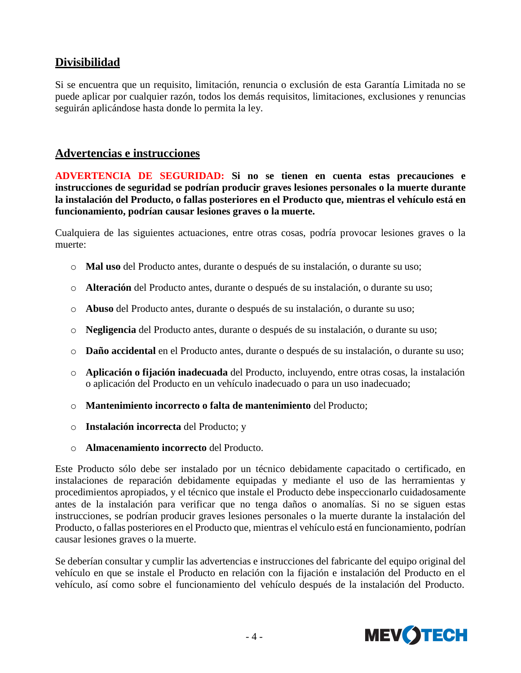# **Divisibilidad**

Si se encuentra que un requisito, limitación, renuncia o exclusión de esta Garantía Limitada no se puede aplicar por cualquier razón, todos los demás requisitos, limitaciones, exclusiones y renuncias seguirán aplicándose hasta donde lo permita la ley.

## **Advertencias e instrucciones**

**ADVERTENCIA DE SEGURIDAD: Si no se tienen en cuenta estas precauciones e instrucciones de seguridad se podrían producir graves lesiones personales o la muerte durante la instalación del Producto, o fallas posteriores en el Producto que, mientras el vehículo está en funcionamiento, podrían causar lesiones graves o la muerte.**

Cualquiera de las siguientes actuaciones, entre otras cosas, podría provocar lesiones graves o la muerte:

- o **Mal uso** del Producto antes, durante o después de su instalación, o durante su uso;
- o **Alteración** del Producto antes, durante o después de su instalación, o durante su uso;
- o **Abuso** del Producto antes, durante o después de su instalación, o durante su uso;
- o **Negligencia** del Producto antes, durante o después de su instalación, o durante su uso;
- o **Daño accidental** en el Producto antes, durante o después de su instalación, o durante su uso;
- o **Aplicación o fijación inadecuada** del Producto, incluyendo, entre otras cosas, la instalación o aplicación del Producto en un vehículo inadecuado o para un uso inadecuado;
- o **Mantenimiento incorrecto o falta de mantenimiento** del Producto;
- o **Instalación incorrecta** del Producto; y
- o **Almacenamiento incorrecto** del Producto.

Este Producto sólo debe ser instalado por un técnico debidamente capacitado o certificado, en instalaciones de reparación debidamente equipadas y mediante el uso de las herramientas y procedimientos apropiados, y el técnico que instale el Producto debe inspeccionarlo cuidadosamente antes de la instalación para verificar que no tenga daños o anomalías. Si no se siguen estas instrucciones, se podrían producir graves lesiones personales o la muerte durante la instalación del Producto, o fallas posteriores en el Producto que, mientras el vehículo está en funcionamiento, podrían causar lesiones graves o la muerte.

Se deberían consultar y cumplir las advertencias e instrucciones del fabricante del equipo original del vehículo en que se instale el Producto en relación con la fijación e instalación del Producto en el vehículo, así como sobre el funcionamiento del vehículo después de la instalación del Producto.

![](_page_7_Picture_16.jpeg)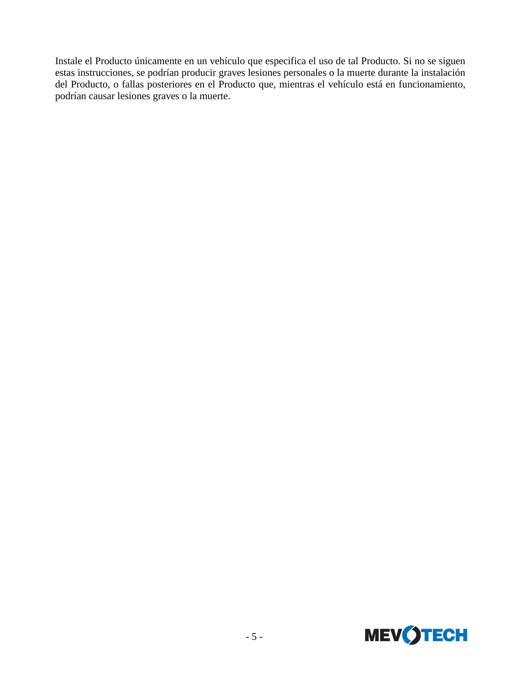Instale el Producto únicamente en un vehículo que especifica el uso de tal Producto. Si no se siguen estas instrucciones, se podrían producir graves lesiones personales o la muerte durante la instalación del Producto, o fallas posteriores en el Producto que, mientras el vehículo está en funcionamiento, podrían causar lesiones graves o la muerte.

![](_page_8_Picture_1.jpeg)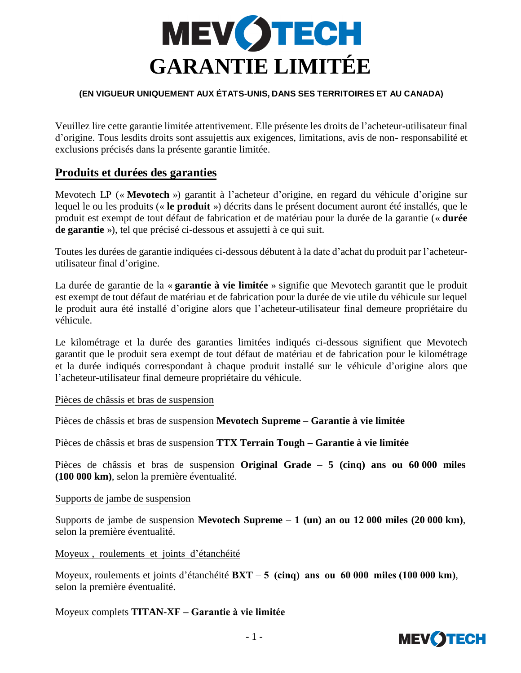![](_page_9_Picture_0.jpeg)

#### **(EN VIGUEUR UNIQUEMENT AUX ÉTATS-UNIS, DANS SES TERRITOIRES ET AU CANADA)**

Veuillez lire cette garantie limitée attentivement. Elle présente les droits de l'acheteur-utilisateur final d'origine. Tous lesdits droits sont assujettis aux exigences, limitations, avis de non- responsabilité et exclusions précisés dans la présente garantie limitée.

### **Produits et durées des garanties**

Mevotech LP (« **Mevotech** ») garantit à l'acheteur d'origine, en regard du véhicule d'origine sur lequel le ou les produits (« **le produit** ») décrits dans le présent document auront été installés, que le produit est exempt de tout défaut de fabrication et de matériau pour la durée de la garantie (« **durée de garantie** »), tel que précisé ci-dessous et assujetti à ce qui suit.

Toutes les durées de garantie indiquées ci-dessous débutent à la date d'achat du produit par l'acheteurutilisateur final d'origine.

La durée de garantie de la « **garantie à vie limitée** » signifie que Mevotech garantit que le produit est exempt de tout défaut de matériau et de fabrication pour la durée de vie utile du véhicule sur lequel le produit aura été installé d'origine alors que l'acheteur-utilisateur final demeure propriétaire du véhicule.

Le kilométrage et la durée des garanties limitées indiqués ci-dessous signifient que Mevotech garantit que le produit sera exempt de tout défaut de matériau et de fabrication pour le kilométrage et la durée indiqués correspondant à chaque produit installé sur le véhicule d'origine alors que l'acheteur-utilisateur final demeure propriétaire du véhicule.

#### Pièces de châssis et bras de suspension

Pièces de châssis et bras de suspension **Mevotech Supreme** – **Garantie à vie limitée**

Pièces de châssis et bras de suspension **TTX Terrain Tough – Garantie à vie limitée**

Pièces de châssis et bras de suspension **Original Grade** – **5 (cinq) ans ou 60 000 miles (100 000 km)**, selon la première éventualité.

#### Supports de jambe de suspension

Supports de jambe de suspension **Mevotech Supreme** – **1 (un) an ou 12 000 miles (20 000 km)**, selon la première éventualité.

Moyeux , roulements et joints d'étanchéité

Moyeux, roulements et joints d'étanchéité **BXT** – **5 (cinq) ans ou 60 000 miles (100 000 km)**, selon la première éventualité.

#### Moyeux complets **TITAN-XF – Garantie à vie limitée**

![](_page_9_Picture_17.jpeg)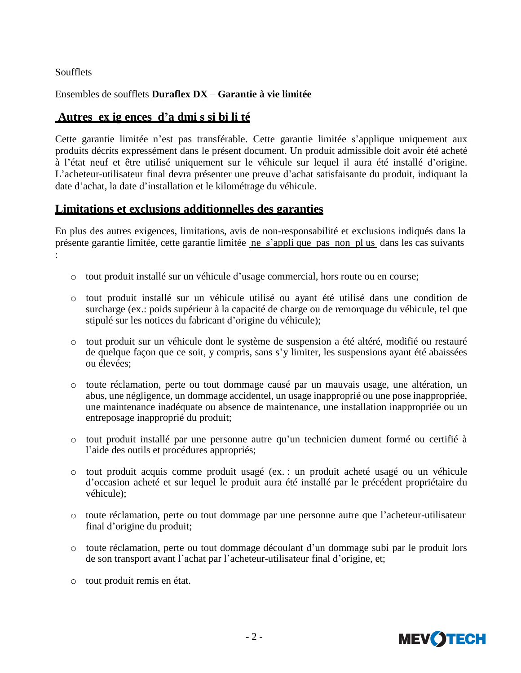#### Soufflets

#### Ensembles de soufflets **Duraflex DX** – **Garantie à vie limitée**

## **Autres ex ig ences d'a dmi s si bi li té**

Cette garantie limitée n'est pas transférable. Cette garantie limitée s'applique uniquement aux produits décrits expressément dans le présent document. Un produit admissible doit avoir été acheté à l'état neuf et être utilisé uniquement sur le véhicule sur lequel il aura été installé d'origine. L'acheteur-utilisateur final devra présenter une preuve d'achat satisfaisante du produit, indiquant la date d'achat, la date d'installation et le kilométrage du véhicule.

### **Limitations et exclusions additionnelles des garanties**

En plus des autres exigences, limitations, avis de non-responsabilité et exclusions indiqués dans la présente garantie limitée, cette garantie limitée ne s'appli que pas non pl us dans les cas suivants :

- o tout produit installé sur un véhicule d'usage commercial, hors route ou en course;
- o tout produit installé sur un véhicule utilisé ou ayant été utilisé dans une condition de surcharge (ex.: poids supérieur à la capacité de charge ou de remorquage du véhicule, tel que stipulé sur les notices du fabricant d'origine du véhicule);
- o tout produit sur un véhicule dont le système de suspension a été altéré, modifié ou restauré de quelque façon que ce soit, y compris, sans s'y limiter, les suspensions ayant été abaissées ou élevées;
- o toute réclamation, perte ou tout dommage causé par un mauvais usage, une altération, un abus, une négligence, un dommage accidentel, un usage inapproprié ou une pose inappropriée, une maintenance inadéquate ou absence de maintenance, une installation inappropriée ou un entreposage inapproprié du produit;
- o tout produit installé par une personne autre qu'un technicien dument formé ou certifié à l'aide des outils et procédures appropriés;
- o tout produit acquis comme produit usagé (ex. : un produit acheté usagé ou un véhicule d'occasion acheté et sur lequel le produit aura été installé par le précédent propriétaire du véhicule);
- o toute réclamation, perte ou tout dommage par une personne autre que l'acheteur-utilisateur final d'origine du produit;
- o toute réclamation, perte ou tout dommage découlant d'un dommage subi par le produit lors de son transport avant l'achat par l'acheteur-utilisateur final d'origine, et;
- o tout produit remis en état.

![](_page_10_Picture_15.jpeg)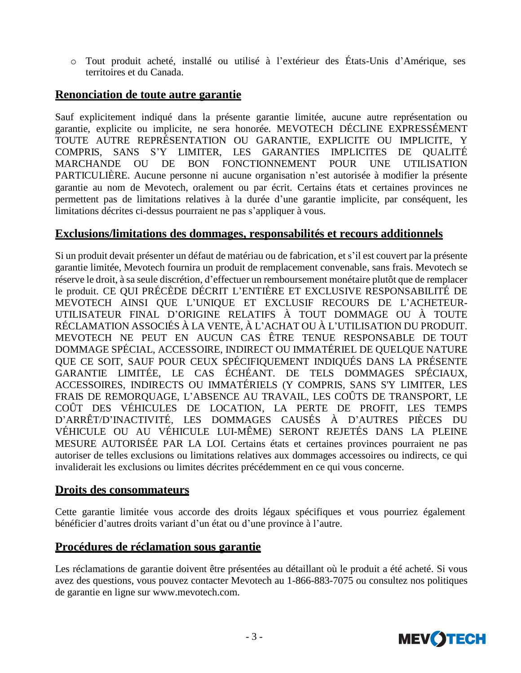o Tout produit acheté, installé ou utilisé à l'extérieur des États-Unis d'Amérique, ses territoires et du Canada.

## **Renonciation de toute autre garantie**

Sauf explicitement indiqué dans la présente garantie limitée, aucune autre représentation ou garantie, explicite ou implicite, ne sera honorée. MEVOTECH DÉCLINE EXPRESSÉMENT TOUTE AUTRE REPRÉSENTATION OU GARANTIE, EXPLICITE OU IMPLICITE, Y COMPRIS, SANS S'Y LIMITER, LES GARANTIES IMPLICITES DE QUALITÉ MARCHANDE OU DE BON FONCTIONNEMENT POUR UNE UTILISATION PARTICULIÈRE. Aucune personne ni aucune organisation n'est autorisée à modifier la présente garantie au nom de Mevotech, oralement ou par écrit. Certains états et certaines provinces ne permettent pas de limitations relatives à la durée d'une garantie implicite, par conséquent, les limitations décrites ci-dessus pourraient ne pas s'appliquer à vous.

### **Exclusions/limitations des dommages, responsabilités et recours additionnels**

Si un produit devait présenter un défaut de matériau ou de fabrication, et s'il est couvert par la présente garantie limitée, Mevotech fournira un produit de remplacement convenable, sans frais. Mevotech se réserve le droit, à sa seule discrétion, d'effectuer un remboursement monétaire plutôt que de remplacer le produit. CE QUI PRÉCÈDE DÉCRIT L'ENTIÈRE ET EXCLUSIVE RESPONSABILITÉ DE MEVOTECH AINSI QUE L'UNIQUE ET EXCLUSIF RECOURS DE L'ACHETEUR-UTILISATEUR FINAL D'ORIGINE RELATIFS À TOUT DOMMAGE OU À TOUTE RÉCLAMATION ASSOCIÉS À LA VENTE, À L'ACHAT OU À L'UTILISATION DU PRODUIT. MEVOTECH NE PEUT EN AUCUN CAS ÊTRE TENUE RESPONSABLE DE TOUT DOMMAGE SPÉCIAL, ACCESSOIRE, INDIRECT OU IMMATÉRIEL DE QUELQUE NATURE QUE CE SOIT, SAUF POUR CEUX SPÉCIFIQUEMENT INDIQUÉS DANS LA PRÉSENTE GARANTIE LIMITÉE, LE CAS ÉCHÉANT. DE TELS DOMMAGES SPÉCIAUX, ACCESSOIRES, INDIRECTS OU IMMATÉRIELS (Y COMPRIS, SANS S'Y LIMITER, LES FRAIS DE REMORQUAGE, L'ABSENCE AU TRAVAIL, LES COÛTS DE TRANSPORT, LE COÛT DES VÉHICULES DE LOCATION, LA PERTE DE PROFIT, LES TEMPS D'ARRÊT/D'INACTIVITÉ, LES DOMMAGES CAUSÉS À D'AUTRES PIÈCES DU VÉHICULE OU AU VÉHICULE LUI-MÊME) SERONT REJETÉS DANS LA PLEINE MESURE AUTORISÉE PAR LA LOI. Certains états et certaines provinces pourraient ne pas autoriser de telles exclusions ou limitations relatives aux dommages accessoires ou indirects, ce qui invaliderait les exclusions ou limites décrites précédemment en ce qui vous concerne.

### **Droits des consommateurs**

Cette garantie limitée vous accorde des droits légaux spécifiques et vous pourriez également bénéficier d'autres droits variant d'un état ou d'une province à l'autre.

### **Procédures de réclamation sous garantie**

Les réclamations de garantie doivent être présentées au détaillant où le produit a été acheté. Si vous avez des questions, vous pouvez contacter Mevotech au 1-866-883-7075 ou consultez nos politiques de garantie en ligne sur [www.mevotech.com.](http://www.mevotech.com/)

![](_page_11_Picture_9.jpeg)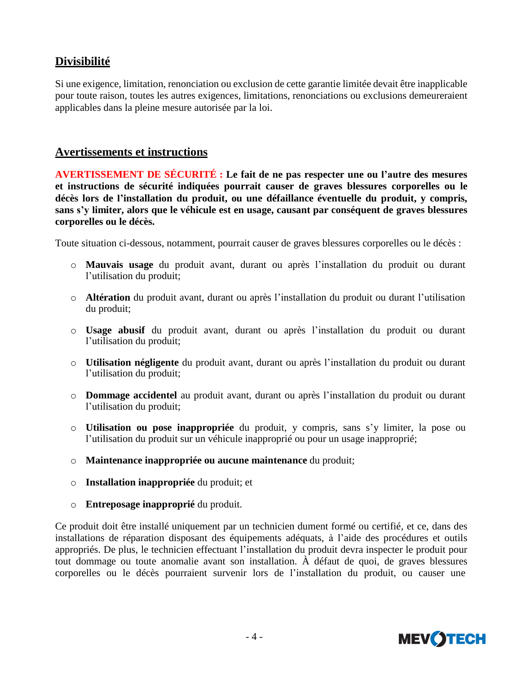# **Divisibilité**

Si une exigence, limitation, renonciation ou exclusion de cette garantie limitée devait être inapplicable pour toute raison, toutes les autres exigences, limitations, renonciations ou exclusions demeureraient applicables dans la pleine mesure autorisée par la loi.

### **Avertissements et instructions**

**AVERTISSEMENT DE SÉCURITÉ : Le fait de ne pas respecter une ou l'autre des mesures et instructions de sécurité indiquées pourrait causer de graves blessures corporelles ou le décès lors de l'installation du produit, ou une défaillance éventuelle du produit, y compris, sans s'y limiter, alors que le véhicule est en usage, causant par conséquent de graves blessures corporelles ou le décès.**

Toute situation ci-dessous, notamment, pourrait causer de graves blessures corporelles ou le décès :

- o **Mauvais usage** du produit avant, durant ou après l'installation du produit ou durant l'utilisation du produit;
- o **Altération** du produit avant, durant ou après l'installation du produit ou durant l'utilisation du produit;
- o **Usage abusif** du produit avant, durant ou après l'installation du produit ou durant l'utilisation du produit;
- o **Utilisation négligente** du produit avant, durant ou après l'installation du produit ou durant l'utilisation du produit;
- o **Dommage accidentel** au produit avant, durant ou après l'installation du produit ou durant l'utilisation du produit;
- o **Utilisation ou pose inappropriée** du produit, y compris, sans s'y limiter, la pose ou l'utilisation du produit sur un véhicule inapproprié ou pour un usage inapproprié;
- o **Maintenance inappropriée ou aucune maintenance** du produit;
- o **Installation inappropriée** du produit; et
- o **Entreposage inapproprié** du produit.

Ce produit doit être installé uniquement par un technicien dument formé ou certifié, et ce, dans des installations de réparation disposant des équipements adéquats, à l'aide des procédures et outils appropriés. De plus, le technicien effectuant l'installation du produit devra inspecter le produit pour tout dommage ou toute anomalie avant son installation. À défaut de quoi, de graves blessures corporelles ou le décès pourraient survenir lors de l'installation du produit, ou causer une

![](_page_12_Picture_15.jpeg)